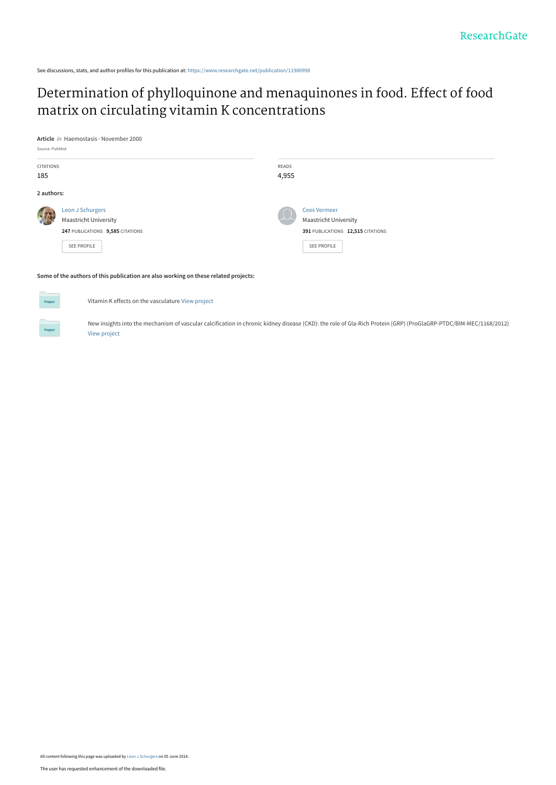See discussions, stats, and author profiles for this publication at: [https://www.researchgate.net/publication/11980998](https://www.researchgate.net/publication/11980998_Determination_of_phylloquinone_and_menaquinones_in_food_Effect_of_food_matrix_on_circulating_vitamin_K_concentrations?enrichId=rgreq-3332c377d6a4568c1c35dad5679413b9-XXX&enrichSource=Y292ZXJQYWdlOzExOTgwOTk4O0FTOjEwNDU2Mjk1NDM0MjQwM0AxNDAxOTQxMTU5MjQz&el=1_x_2&_esc=publicationCoverPdf)

# [Determination of phylloquinone and menaquinones in food. Effect of food](https://www.researchgate.net/publication/11980998_Determination_of_phylloquinone_and_menaquinones_in_food_Effect_of_food_matrix_on_circulating_vitamin_K_concentrations?enrichId=rgreq-3332c377d6a4568c1c35dad5679413b9-XXX&enrichSource=Y292ZXJQYWdlOzExOTgwOTk4O0FTOjEwNDU2Mjk1NDM0MjQwM0AxNDAxOTQxMTU5MjQz&el=1_x_3&_esc=publicationCoverPdf) matrix on circulating vitamin K concentrations



Vitamin K effects on the vasculature [View project](https://www.researchgate.net/project/Vitamin-K-effects-on-the-vasculature?enrichId=rgreq-3332c377d6a4568c1c35dad5679413b9-XXX&enrichSource=Y292ZXJQYWdlOzExOTgwOTk4O0FTOjEwNDU2Mjk1NDM0MjQwM0AxNDAxOTQxMTU5MjQz&el=1_x_9&_esc=publicationCoverPdf)

Project

New insights into the mechanism of vascular calcification in chronic kidney disease (CKD): the role of Gla-Rich Protein (GRP) (ProGlaGRP-PTDC/BIM-MEC/1168/2012) [View project](https://www.researchgate.net/project/New-insights-into-the-mechanism-of-vascular-calcification-in-chronic-kidney-disease-CKD-the-role-of-Gla-Rich-Protein-GRP-ProGlaGRP-PTDC-BIM-MEC-1168-2012?enrichId=rgreq-3332c377d6a4568c1c35dad5679413b9-XXX&enrichSource=Y292ZXJQYWdlOzExOTgwOTk4O0FTOjEwNDU2Mjk1NDM0MjQwM0AxNDAxOTQxMTU5MjQz&el=1_x_9&_esc=publicationCoverPdf)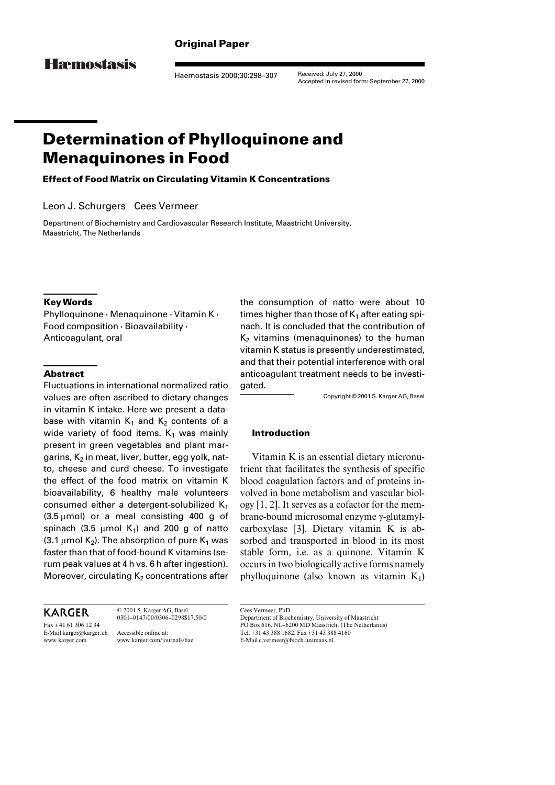# **Original Paper**

**H**æmostasis

Haemostasis 2000;30:298–307

Received: July 27, 2000 Accepted in revised form: September 27, 2000

# **Determination of Phylloquinone and Menaquinones in Food**

**Effect of Food Matrix on Circulating Vitamin K Concentrations**

Leon J. Schurgers Cees Vermeer

Department of Biochemistry and Cardiovascular Research Institute, Maastricht University, Maastricht, The Netherlands

# **Key Words**

Phylloquinone  $\cdot$  Menaquinone  $\cdot$  Vitamin K  $\cdot$ Food composition  $\cdot$  Bioavailability  $\cdot$ Anticoagulant, oral

# **Abstract**

Fluctuations in international normalized ratio values are often ascribed to dietary changes in vitamin K intake. Here we present a database with vitamin  $K_1$  and  $K_2$  contents of a wide variety of food items.  $K_1$  was mainly present in green vegetables and plant margarins,  $K_2$  in meat, liver, butter, egg yolk, natto, cheese and curd cheese. To investigate the effect of the food matrix on vitamin K bioavailability, 6 healthy male volunteers consumed either a detergent-solubilized  $K_1$  $(3.5 \,\mu\text{mol})$  or a meal consisting 400 g of spinach (3.5  $\mu$ mol K<sub>1</sub>) and 200 g of natto (3.1  $\mu$ mol K<sub>2</sub>). The absorption of pure K<sub>1</sub> was faster than that of food-bound K vitamins (serum peak values at 4 h vs. 6 h after ingestion). Moreover, circulating  $K_2$  concentrations after times higher than those of  $K_1$  after eating spinach. It is concluded that the contribution of  $K<sub>2</sub>$  vitamins (menaquinones) to the human vitamin K status is presently underestimated, and that their potential interference with oral anticoagulant treatment needs to be investigated.

the consumption of natto were about 10

Copyright © 2001 S. Karger AG, Basel

# **Introduction**

Vitamin K is an essential dietary micronutrient that facilitates the synthesis of specific blood coagulation factors and of proteins involved in bone metabolism and vascular biology [1, 2]. It serves as a cofactor for the mem $brane-bound$  microsomal enzyme  $\gamma$ -glutamylcarboxylase [3]. Dietary vitamin K is absorbed and transported in blood in its most stable form, i.e. as a quinone. Vitamin K occurs in two biologically active forms namely phylloquinone (also known as vitamin  $K_1$ )

KARGER Fax + 41 61 306 12 34

www.karger.com

© 2001 S. Karger AG, Basel 0301–0147/00/0306–0298\$17.50/0

E-Mail karger@karger.ch Accessible online at: www.karger.com/journals/hae Cees Vermeer, PhD

Department of Biochemistry, University of Maastricht PO Box 616, NL–6200 MD Maastricht (The Netherlands) Tel. +31 43 388 1682, Fax +31 43 388 4160 E-Mail c.vermeer@bioch.unimaas.nl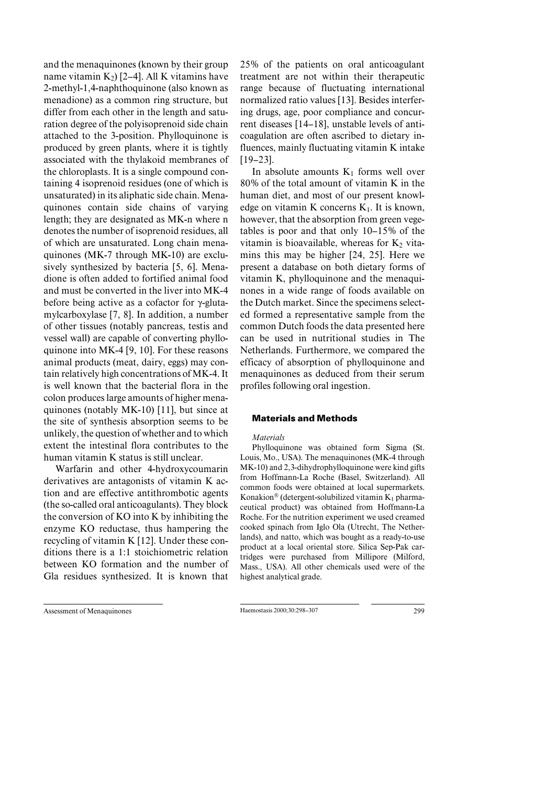and the menaquinones (known by their group name vitamin  $K_2$ ) [2–4]. All K vitamins have 2-methyl-1,4-naphthoquinone (also known as menadione) as a common ring structure, but differ from each other in the length and saturation degree of the polyisoprenoid side chain attached to the 3-position. Phylloquinone is produced by green plants, where it is tightly associated with the thylakoid membranes of the chloroplasts. It is a single compound containing 4 isoprenoid residues (one of which is unsaturated) in its aliphatic side chain. Menaquinones contain side chains of varying length; they are designated as MK-n where n denotes the number of isoprenoid residues, all of which are unsaturated. Long chain menaquinones (MK-7 through MK-10) are exclusively synthesized by bacteria [5, 6]. Menadione is often added to fortified animal food and must be converted in the liver into MK-4 before being active as a cofactor for  $\gamma$ -glutamylcarboxylase [7, 8]. In addition, a number of other tissues (notably pancreas, testis and vessel wall) are capable of converting phylloquinone into MK-4 [9, 10]. For these reasons animal products (meat, dairy, eggs) may contain relatively high concentrations of MK-4. It is well known that the bacterial flora in the colon produces large amounts of higher menaquinones (notably MK-10) [11], but since at the site of synthesis absorption seems to be unlikely, the question of whether and to which extent the intestinal flora contributes to the human vitamin K status is still unclear.

Warfarin and other 4-hydroxycoumarin derivatives are antagonists of vitamin K action and are effective antithrombotic agents (the so-called oral anticoagulants). They block the conversion of KO into K by inhibiting the enzyme KO reductase, thus hampering the recycling of vitamin K [12]. Under these conditions there is a 1:1 stoichiometric relation between KO formation and the number of Gla residues synthesized. It is known that

Assessment of Menaquinones Haemostasis 2000;30:298–307 299

25% of the patients on oral anticoagulant treatment are not within their therapeutic range because of fluctuating international normalized ratio values [13]. Besides interfering drugs, age, poor compliance and concurrent diseases [14–18], unstable levels of anticoagulation are often ascribed to dietary influences, mainly fluctuating vitamin K intake [19–23].

In absolute amounts  $K_1$  forms well over 80% of the total amount of vitamin K in the human diet, and most of our present knowledge on vitamin K concerns  $K_1$ . It is known, however, that the absorption from green vegetables is poor and that only 10–15% of the vitamin is bioavailable, whereas for  $K_2$  vitamins this may be higher [24, 25]. Here we present a database on both dietary forms of vitamin K, phylloquinone and the menaquinones in a wide range of foods available on the Dutch market. Since the specimens selected formed a representative sample from the common Dutch foods the data presented here can be used in nutritional studies in The Netherlands. Furthermore, we compared the efficacy of absorption of phylloquinone and menaquinones as deduced from their serum profiles following oral ingestion.

# **Materials and Methods**

# *Materials*

Phylloquinone was obtained form Sigma (St. Louis, Mo., USA). The menaquinones (MK-4 through MK-10) and 2,3-dihydrophylloquinone were kind gifts from Hoffmann-La Roche (Basel, Switzerland). All common foods were obtained at local supermarkets. Konakion<sup>®</sup> (detergent-solubilized vitamin  $K_1$  pharmaceutical product) was obtained from Hoffmann-La Roche. For the nutrition experiment we used creamed cooked spinach from Iglo Ola (Utrecht, The Netherlands), and natto, which was bought as a ready-to-use product at a local oriental store. Silica Sep-Pak cartridges were purchased from Millipore (Milford, Mass., USA). All other chemicals used were of the highest analytical grade.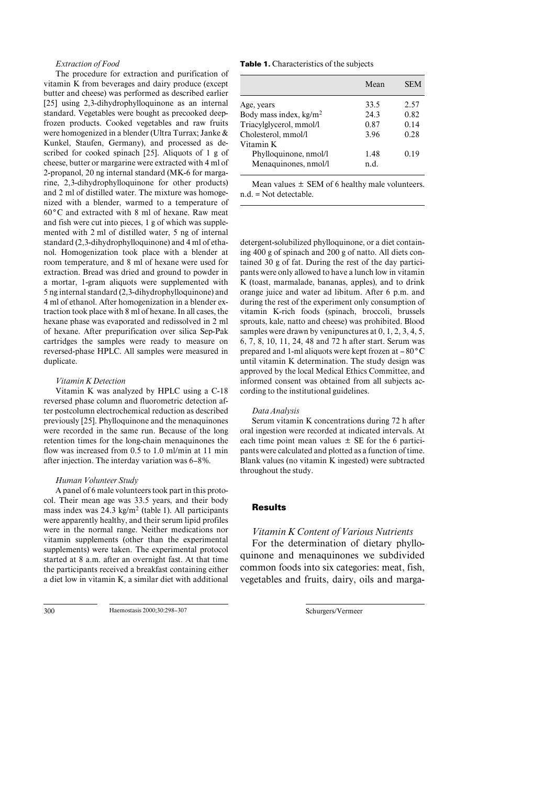# *Extraction of Food*

The procedure for extraction and purification of vitamin K from beverages and dairy produce (except butter and cheese) was performed as described earlier [25] using 2,3-dihydrophylloquinone as an internal standard. Vegetables were bought as precooked deepfrozen products. Cooked vegetables and raw fruits were homogenized in a blender (Ultra Turrax; Janke & Kunkel, Staufen, Germany), and processed as described for cooked spinach [25]. Aliquots of 1 g of cheese, butter or margarine were extracted with 4 ml of 2-propanol, 20 ng internal standard (MK-6 for margarine, 2,3-dihydrophylloquinone for other products) and 2 ml of distilled water. The mixture was homogenized with a blender, warmed to a temperature of 60**°**C and extracted with 8 ml of hexane. Raw meat and fish were cut into pieces, 1 g of which was supplemented with 2ml of distilled water, 5 ng of internal standard (2,3-dihydrophylloquinone) and 4 ml of ethanol. Homogenization took place with a blender at room temperature, and 8 ml of hexane were used for extraction. Bread was dried and ground to powder in a mortar, 1-gram aliquots were supplemented with 5 ng internal standard (2,3-dihydrophylloquinone) and 4 ml of ethanol. After homogenization in a blender extraction took place with 8 ml of hexane. In all cases, the hexane phase was evaporated and redissolved in 2 ml of hexane. After prepurification over silica Sep-Pak cartridges the samples were ready to measure on reversed-phase HPLC. All samples were measured in duplicate.

### *Vitamin K Detection*

Vitamin K was analyzed by HPLC using a C-18 reversed phase column and fluorometric detection after postcolumn electrochemical reduction as described previously [25]. Phylloquinone and the menaquinones were recorded in the same run. Because of the long retention times for the long-chain menaquinones the flow was increased from 0.5 to 1.0 ml/min at 11 min after injection. The interday variation was 6–8%.

#### *Human Volunteer Study*

A panel of 6 male volunteers took part in this protocol. Their mean age was 33.5 years, and their body mass index was 24.3 kg/m2 (table 1). All participants were apparently healthy, and their serum lipid profiles were in the normal range. Neither medications nor vitamin supplements (other than the experimental supplements) were taken. The experimental protocol started at 8 a.m. after an overnight fast. At that time the participants received a breakfast containing either a diet low in vitamin K, a similar diet with additional

300 Haemostasis 2000;30:298–307 Schurgers/Vermeer

#### **Table 1.** Characteristics of the subjects

|                                    | Mean | <b>SEM</b> |
|------------------------------------|------|------------|
| Age, years                         | 33.5 | 2.57       |
| Body mass index, kg/m <sup>2</sup> | 24.3 | 0.82       |
| Triacylglycerol, mmol/l            | 0.87 | 0.14       |
| Cholesterol, mmol/l                | 3.96 | 0.28       |
| Vitamin K                          |      |            |
| Phylloquinone, nmol/l              | 1.48 | 0.19       |
| Menaquinones, nmol/l               | n.d. |            |

Mean values  $\pm$  SEM of 6 healthy male volunteers. n.d. = Not detectable.

detergent-solubilized phylloquinone, or a diet containing 400 g of spinach and 200 g of natto. All diets contained 30 g of fat. During the rest of the day participants were only allowed to have a lunch low in vitamin K (toast, marmalade, bananas, apples), and to drink orange juice and water ad libitum. After 6 p.m. and during the rest of the experiment only consumption of vitamin K-rich foods (spinach, broccoli, brussels sprouts, kale, natto and cheese) was prohibited. Blood samples were drawn by venipunctures at 0, 1, 2, 3, 4, 5, 6, 7, 8, 10, 11, 24, 48 and 72 h after start. Serum was prepared and 1-ml aliquots were kept frozen at –80**°**C until vitamin K determination. The study design was approved by the local Medical Ethics Committee, and informed consent was obtained from all subjects according to the institutional guidelines.

#### *Data Analysis*

Serum vitamin K concentrations during 72 h after oral ingestion were recorded at indicated intervals. At each time point mean values  $\pm$  SE for the 6 participants were calculated and plotted as a function of time. Blank values (no vitamin K ingested) were subtracted throughout the study.

# **Results**

# *Vitamin K Content of Various Nutrients*

For the determination of dietary phylloquinone and menaquinones we subdivided common foods into six categories: meat, fish, vegetables and fruits, dairy, oils and marga-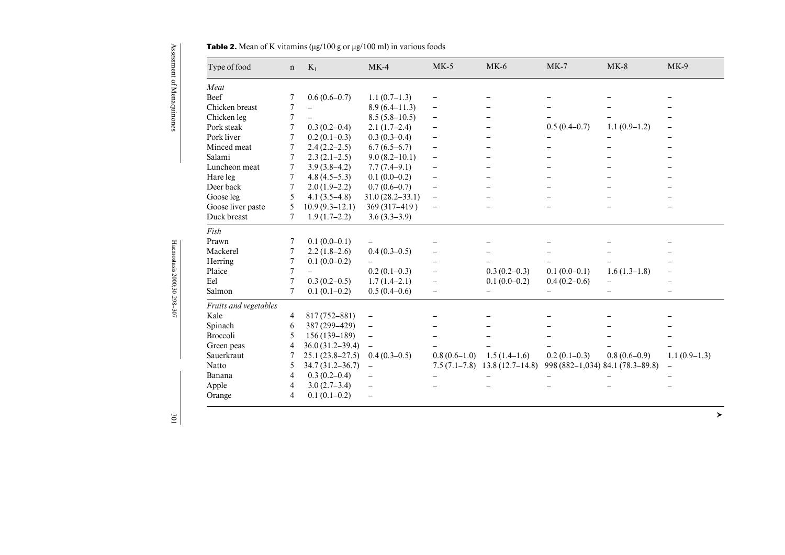Assessment of Menaquinones

| Type of food          | $\mathbf n$     | $K_1$                    | $MK-4$                   | $MK-5$                   | $MK-6$                          | $MK-7$                   | $MK-8$                           | $MK-9$                   |
|-----------------------|-----------------|--------------------------|--------------------------|--------------------------|---------------------------------|--------------------------|----------------------------------|--------------------------|
| Meat                  |                 |                          |                          |                          |                                 |                          |                                  |                          |
| Beef                  | 7               | $0.6(0.6-0.7)$           | $1.1(0.7-1.3)$           | $\qquad \qquad -$        |                                 | -                        |                                  |                          |
| Chicken breast        | $\tau$          | $\overline{\phantom{0}}$ | $8.9(6.4 - 11.3)$        | $\qquad \qquad -$        |                                 |                          |                                  |                          |
| Chicken leg           | $\tau$          |                          | $8.5(5.8-10.5)$          | $\qquad \qquad -$        |                                 |                          |                                  |                          |
| Pork steak            | $\tau$          | $0.3(0.2-0.4)$           | $2.1(1.7-2.4)$           | $\qquad \qquad -$        |                                 | $0.5(0.4-0.7)$           | $1.1(0.9-1.2)$                   |                          |
| Pork liver            | $\tau$          | $0.2(0.1-0.3)$           | $0.3(0.3-0.4)$           | $\qquad \qquad -$        |                                 |                          |                                  |                          |
| Minced meat           | $\overline{7}$  | $2.4(2.2-2.5)$           | $6.7(6.5-6.7)$           | $\qquad \qquad -$        |                                 |                          |                                  |                          |
| Salami                | 7               | $2.3(2.1-2.5)$           | $9.0(8.2 - 10.1)$        | $\qquad \qquad -$        |                                 |                          |                                  |                          |
| Luncheon meat         | 7               | $3.9(3.8-4.2)$           | $7.7(7.4-9.1)$           | $\overline{\phantom{0}}$ |                                 |                          |                                  |                          |
| Hare leg              | $\tau$          | $4.8(4.5-5.3)$           | $0.1(0.0-0.2)$           | $\overline{\phantom{0}}$ |                                 |                          |                                  |                          |
| Deer back             | $\tau$          | $2.0(1.9-2.2)$           | $0.7(0.6-0.7)$           | $\qquad \qquad -$        |                                 |                          |                                  |                          |
| Goose leg             | 5               | $4.1(3.5-4.8)$           | $31.0(28.2 - 33.1)$      | $\qquad \qquad -$        |                                 |                          |                                  |                          |
| Goose liver paste     | 5               | $10.9(9.3-12.1)$         | 369 (317-419)            |                          |                                 |                          |                                  |                          |
| Duck breast           | $7\overline{ }$ | $1.9(1.7-2.2)$           | $3.6(3.3-3.9)$           |                          |                                 |                          |                                  |                          |
| Fish                  |                 |                          |                          |                          |                                 |                          |                                  |                          |
| Prawn                 | $\tau$          | $0.1(0.0-0.1)$           |                          |                          |                                 |                          |                                  |                          |
| Mackerel              | $\overline{7}$  | $2.2(1.8-2.6)$           | $0.4(0.3-0.5)$           |                          |                                 |                          |                                  |                          |
| Herring               | $\overline{7}$  | $0.1(0.0-0.2)$           |                          |                          |                                 |                          |                                  |                          |
| Plaice                | 7               |                          | $0.2(0.1-0.3)$           |                          | $0.3(0.2-0.3)$                  | $0.1(0.0-0.1)$           | $1.6(1.3-1.8)$                   |                          |
| Eel                   | $\overline{7}$  | $0.3(0.2-0.5)$           | $1.7(1.4-2.1)$           |                          | $0.1(0.0-0.2)$                  | $0.4(0.2-0.6)$           | $\overline{\phantom{0}}$         |                          |
| Salmon                | $\tau$          | $0.1(0.1-0.2)$           | $0.5(0.4-0.6)$           | $\equiv$                 | $\overline{\phantom{0}}$        | $\overline{\phantom{0}}$ | $\qquad \qquad -$                |                          |
| Fruits and vegetables |                 |                          |                          |                          |                                 |                          |                                  |                          |
| Kale                  | $\overline{4}$  | 817 (752-881)            | $\overline{\phantom{0}}$ |                          |                                 |                          |                                  |                          |
| Spinach               | 6               | 387 (299-429)            | $\qquad \qquad -$        |                          |                                 | -                        |                                  |                          |
| <b>Broccoli</b>       | 5               | $156(139-189)$           | $\qquad \qquad -$        |                          | $\overline{\phantom{0}}$        | $\overline{\phantom{0}}$ |                                  |                          |
| Green peas            | $\overline{4}$  | $36.0(31.2-39.4)$        | $\equiv$                 |                          |                                 |                          |                                  |                          |
| Sauerkraut            | 7               | $25.1(23.8-27.5)$        | $0.4(0.3-0.5)$           | $0.8(0.6-1.0)$           | $1.5(1.4-1.6)$                  | $0.2(0.1-0.3)$           | $0.8(0.6-0.9)$                   | $1.1(0.9-1.3)$           |
| Natto                 | 5               | $34.7(31.2 - 36.7)$      | $\equiv$                 |                          | $7.5(7.1-7.8)$ 13.8 (12.7-14.8) |                          | 998 (882-1,034) 84.1 (78.3-89.8) | $\overline{\phantom{0}}$ |
| Banana                | 4               | $0.3(0.2-0.4)$           | $\overline{\phantom{0}}$ |                          |                                 |                          |                                  |                          |
| Apple                 | 4               | $3.0(2.7-3.4)$           | $\overline{\phantom{0}}$ |                          |                                 |                          |                                  |                          |
| Orange                | $\overline{4}$  | $0.1(0.1-0.2)$           | $\qquad \qquad -$        |                          |                                 |                          |                                  |                          |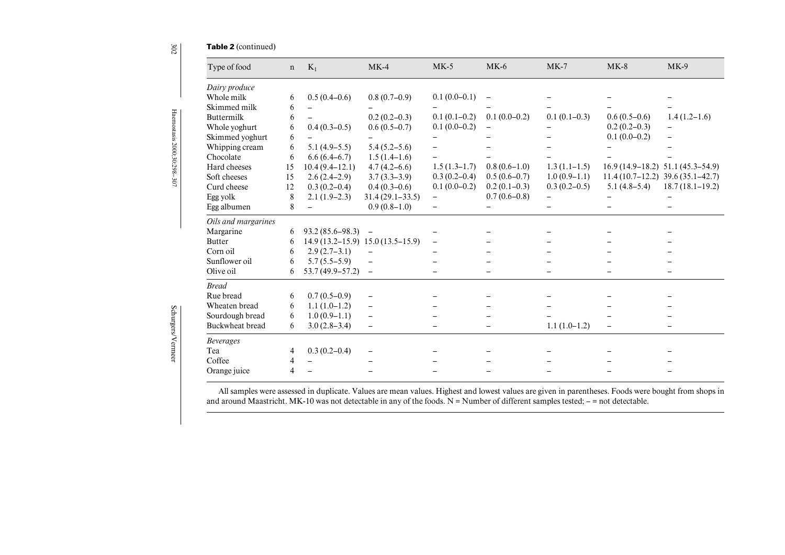| 302                         | <b>Table 2</b> (continued) |                |                     |                                    |                          |                |                          |                          |                                    |
|-----------------------------|----------------------------|----------------|---------------------|------------------------------------|--------------------------|----------------|--------------------------|--------------------------|------------------------------------|
|                             | Type of food               | $\mathbf n$    | $K_1$               | $MK-4$                             | $MK-5$                   | $MK-6$         | $MK-7$                   | $MK-8$                   | $MK-9$                             |
|                             | Dairy produce              |                |                     |                                    |                          |                |                          |                          |                                    |
|                             | Whole milk                 | 6              | $0.5(0.4-0.6)$      | $0.8(0.7-0.9)$                     | $0.1(0.0-0.1)$           |                |                          |                          |                                    |
|                             | Skimmed milk               | 6              |                     |                                    |                          |                |                          |                          |                                    |
|                             | Buttermilk                 | 6              |                     | $0.2(0.2-0.3)$                     | $0.1(0.1-0.2)$           | $0.1(0.0-0.2)$ | $0.1(0.1-0.3)$           | $0.6(0.5-0.6)$           | $1.4(1.2-1.6)$                     |
|                             | Whole yoghurt              | 6              | $0.4(0.3-0.5)$      | $0.6(0.5-0.7)$                     | $0.1(0.0-0.2)$           |                |                          | $0.2(0.2-0.3)$           |                                    |
|                             | Skimmed yoghurt            | 6              |                     |                                    |                          |                |                          | $0.1(0.0-0.2)$           |                                    |
|                             | Whipping cream             | 6              | $5.1(4.9-5.5)$      | $5.4(5.2-5.6)$                     |                          |                |                          |                          |                                    |
|                             | Chocolate                  | 6              | $6.6(6.4-6.7)$      | $1.5(1.4-1.6)$                     |                          |                |                          |                          |                                    |
|                             | Hard cheeses               | 15             | $10.4(9.4-12.1)$    | $4.7(4.2-6.6)$                     | $1.5(1.3-1.7)$           | $0.8(0.6-1.0)$ | $1.3(1.1-1.5)$           |                          | $16.9(14.9-18.2)$ 51.1 (45.3-54.9) |
| Haemostasis 2000;30:298-307 | Soft cheeses               | 15             | $2.6(2.4-2.9)$      | $3.7(3.3-3.9)$                     | $0.3(0.2-0.4)$           | $0.5(0.6-0.7)$ | $1.0(0.9-1.1)$           |                          | $11.4(10.7-12.2)$ 39.6 (35.1-42.7) |
|                             | Curd cheese                | 12             | $0.3(0.2-0.4)$      | $0.4(0.3-0.6)$                     | $0.1(0.0-0.2)$           | $0.2(0.1-0.3)$ | $0.3(0.2-0.5)$           | $5.1(4.8-5.4)$           | $18.7(18.1-19.2)$                  |
|                             | Egg yolk                   | 8              | $2.1(1.9-2.3)$      | $31.4(29.1-33.5)$                  | $\overline{\phantom{a}}$ | $0.7(0.6-0.8)$ | $\overline{\phantom{0}}$ |                          |                                    |
|                             | Egg albumen                | 8              |                     | $0.9(0.8-1.0)$                     | $\qquad \qquad -$        |                |                          |                          |                                    |
|                             | Oils and margarines        |                |                     |                                    |                          |                |                          |                          |                                    |
|                             | Margarine                  | 6              | $93.2(85.6-98.3)$ - |                                    |                          |                |                          |                          |                                    |
|                             | <b>Butter</b>              | 6              |                     | $14.9(13.2-15.9)$ 15.0 (13.5-15.9) | $\qquad \qquad -$        |                |                          |                          |                                    |
|                             | Corn oil                   | 6              | $2.9(2.7-3.1)$      | $\overline{\phantom{a}}$           |                          |                |                          |                          |                                    |
|                             | Sunflower oil              | 6              | $5.7(5.5-5.9)$      |                                    |                          |                |                          |                          |                                    |
|                             | Olive oil                  | 6              | $53.7(49.9-57.2)$ - |                                    |                          |                |                          |                          |                                    |
|                             | <b>Bread</b>               |                |                     |                                    |                          |                |                          |                          |                                    |
|                             | Rue bread                  | 6              | $0.7(0.5-0.9)$      |                                    |                          |                |                          |                          |                                    |
|                             | Wheaten bread              | 6              | $1.1(1.0-1.2)$      | $\overline{\phantom{m}}$           |                          |                |                          |                          |                                    |
|                             | Sourdough bread            | 6              | $1.0(0.9-1.1)$      | $\overline{\phantom{m}}$           |                          |                |                          |                          |                                    |
|                             | <b>Buckwheat</b> bread     | 6              | $3.0(2.8-3.4)$      | $\overline{\phantom{m}}$           | $\overline{\phantom{m}}$ |                | $1.1(1.0-1.2)$           | $\overline{\phantom{m}}$ |                                    |
| Schurgers/Vermeer           | <b>Beverages</b>           |                |                     |                                    |                          |                |                          |                          |                                    |
|                             | Tea                        | $\overline{4}$ | $0.3(0.2-0.4)$      |                                    |                          |                |                          |                          |                                    |
|                             | Coffee                     | $\overline{4}$ |                     |                                    |                          |                |                          |                          |                                    |
|                             | Orange juice               | $\overline{4}$ |                     |                                    |                          |                |                          |                          |                                    |

All samples were assessed in duplicate. Values are mean values. Highest and lowest values are given in parentheses. Foods were bought from shops in and around Maastricht. MK-10 was not detectable in any of the foods. N = Number of different samples tested; – = not detectable.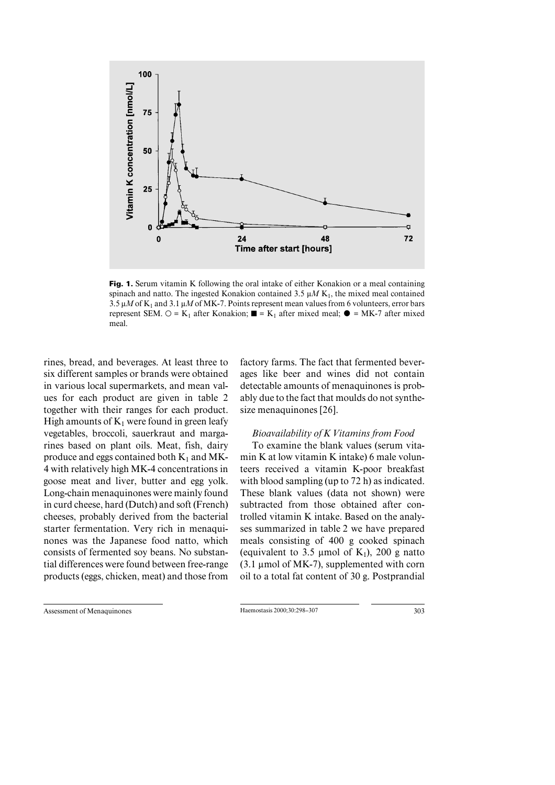

**Fig. 1.** Serum vitamin K following the oral intake of either Konakion or a meal containing spinach and natto. The ingested Konakion contained  $3.5 \mu M$  K<sub>1</sub>, the mixed meal contained  $3.5 \mu M$  of K<sub>1</sub> and 3.1  $\mu$ *M* of MK-7. Points represent mean values from 6 volunteers, error bars represent SEM.  $\bigcirc$  = K<sub>1</sub> after Konakion;  $\blacksquare$  = K<sub>1</sub> after mixed meal;  $\blacklozenge$  = MK-7 after mixed meal.

rines, bread, and beverages. At least three to six different samples or brands were obtained in various local supermarkets, and mean values for each product are given in table 2 together with their ranges for each product. High amounts of  $K_1$  were found in green leafy vegetables, broccoli, sauerkraut and margarines based on plant oils. Meat, fish, dairy produce and eggs contained both  $K_1$  and MK-4 with relatively high MK-4 concentrations in goose meat and liver, butter and egg yolk. Long-chain menaquinones were mainly found in curd cheese, hard (Dutch) and soft (French) cheeses, probably derived from the bacterial starter fermentation. Very rich in menaquinones was the Japanese food natto, which consists of fermented soy beans. No substantial differences were found between free-range products (eggs, chicken, meat) and those from

Assessment of Menaquinones Haemostasis 2000;30:298–307 303

factory farms. The fact that fermented beverages like beer and wines did not contain detectable amounts of menaquinones is probably due to the fact that moulds do not synthesize menaquinones [26].

# *Bioavailability of K Vitamins from Food*

To examine the blank values (serum vitamin K at low vitamin K intake) 6 male volunteers received a vitamin K-poor breakfast with blood sampling (up to 72 h) as indicated. These blank values (data not shown) were subtracted from those obtained after controlled vitamin K intake. Based on the analyses summarized in table 2 we have prepared meals consisting of 400 g cooked spinach (equivalent to 3.5 µmol of K<sub>1</sub>), 200 g natto  $(3.1 \mu \text{mol of MK-7})$ , supplemented with corn oil to a total fat content of 30 g. Postprandial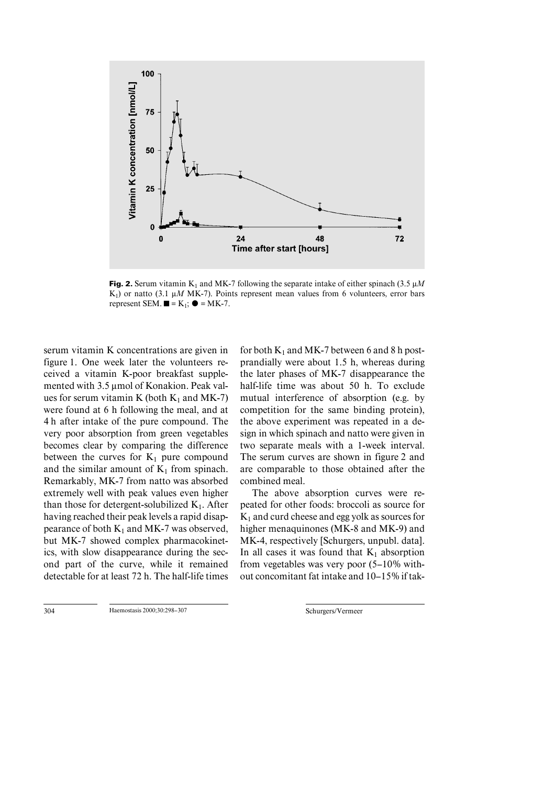

**Fig. 2.** Serum vitamin K<sub>1</sub> and MK-7 following the separate intake of either spinach (3.5  $\mu$ *M*) K<sub>1</sub>) or natto (3.1  $\mu$ *M* MK-7). Points represent mean values from 6 volunteers, error bars represent SEM.  $\blacksquare = K_1$ ;  $\blacklozenge = MK-7$ .

serum vitamin K concentrations are given in figure 1. One week later the volunteers received a vitamin K-poor breakfast supplemented with  $3.5 \mu$ mol of Konakion. Peak values for serum vitamin K (both  $K_1$  and MK-7) were found at 6 h following the meal, and at 4 h after intake of the pure compound. The very poor absorption from green vegetables becomes clear by comparing the difference between the curves for  $K_1$  pure compound and the similar amount of  $K_1$  from spinach. Remarkably, MK-7 from natto was absorbed extremely well with peak values even higher than those for detergent-solubilized  $K_1$ . After having reached their peak levels a rapid disappearance of both  $K_1$  and MK-7 was observed, but MK-7 showed complex pharmacokinetics, with slow disappearance during the second part of the curve, while it remained detectable for at least 72 h. The half-life times

for both  $K_1$  and MK-7 between 6 and 8 h postprandially were about 1.5 h, whereas during the later phases of MK-7 disappearance the half-life time was about 50 h. To exclude mutual interference of absorption (e.g. by competition for the same binding protein), the above experiment was repeated in a design in which spinach and natto were given in two separate meals with a 1-week interval. The serum curves are shown in figure 2 and are comparable to those obtained after the combined meal.

The above absorption curves were repeated for other foods: broccoli as source for  $K_1$  and curd cheese and egg yolk as sources for higher menaquinones (MK-8 and MK-9) and MK-4, respectively [Schurgers, unpubl. data]. In all cases it was found that  $K_1$  absorption from vegetables was very poor (5–10% without concomitant fat intake and 10–15% if tak-

304 Haemostasis 2000;30:298–307 Schurgers/Vermeer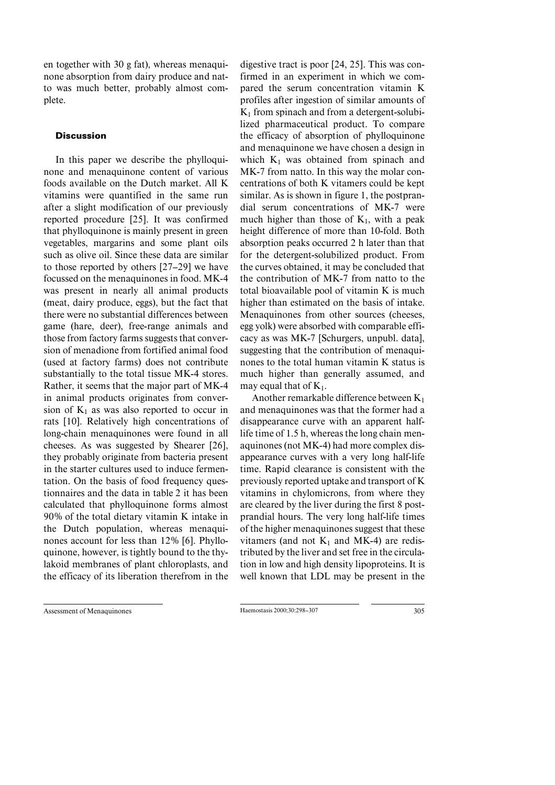en together with 30 g fat), whereas menaquinone absorption from dairy produce and natto was much better, probably almost complete.

# **Discussion**

In this paper we describe the phylloquinone and menaquinone content of various foods available on the Dutch market. All K vitamins were quantified in the same run after a slight modification of our previously reported procedure [25]. It was confirmed that phylloquinone is mainly present in green vegetables, margarins and some plant oils such as olive oil. Since these data are similar to those reported by others [27–29] we have focussed on the menaquinones in food. MK-4 was present in nearly all animal products (meat, dairy produce, eggs), but the fact that there were no substantial differences between game (hare, deer), free-range animals and those from factory farms suggests that conversion of menadione from fortified animal food (used at factory farms) does not contribute substantially to the total tissue MK-4 stores. Rather, it seems that the major part of MK-4 in animal products originates from conversion of  $K_1$  as was also reported to occur in rats [10]. Relatively high concentrations of long-chain menaquinones were found in all cheeses. As was suggested by Shearer [26], they probably originate from bacteria present in the starter cultures used to induce fermentation. On the basis of food frequency questionnaires and the data in table 2 it has been calculated that phylloquinone forms almost 90% of the total dietary vitamin K intake in the Dutch population, whereas menaquinones account for less than 12% [6]. Phylloquinone, however, is tightly bound to the thylakoid membranes of plant chloroplasts, and the efficacy of its liberation therefrom in the

Assessment of Menaquinones Haemostasis 2000;30:298–307 305

digestive tract is poor [24, 25]. This was confirmed in an experiment in which we compared the serum concentration vitamin K profiles after ingestion of similar amounts of  $K_1$  from spinach and from a detergent-solubilized pharmaceutical product. To compare the efficacy of absorption of phylloquinone and menaquinone we have chosen a design in which  $K_1$  was obtained from spinach and MK-7 from natto. In this way the molar concentrations of both K vitamers could be kept similar. As is shown in figure 1, the postprandial serum concentrations of MK-7 were much higher than those of  $K_1$ , with a peak height difference of more than 10-fold. Both absorption peaks occurred 2 h later than that for the detergent-solubilized product. From the curves obtained, it may be concluded that the contribution of MK-7 from natto to the total bioavailable pool of vitamin K is much higher than estimated on the basis of intake. Menaquinones from other sources (cheeses, egg yolk) were absorbed with comparable efficacy as was MK-7 [Schurgers, unpubl. data], suggesting that the contribution of menaquinones to the total human vitamin K status is much higher than generally assumed, and

Another remarkable difference between  $K_1$ and menaquinones was that the former had a disappearance curve with an apparent halflife time of 1.5 h, whereas the long chain menaquinones (not MK-4) had more complex disappearance curves with a very long half-life time. Rapid clearance is consistent with the previously reported uptake and transport of K vitamins in chylomicrons, from where they are cleared by the liver during the first 8 postprandial hours. The very long half-life times of the higher menaquinones suggest that these vitamers (and not  $K_1$  and MK-4) are redistributed by the liver and set free in the circulation in low and high density lipoproteins. It is well known that LDL may be present in the

may equal that of  $K_1$ .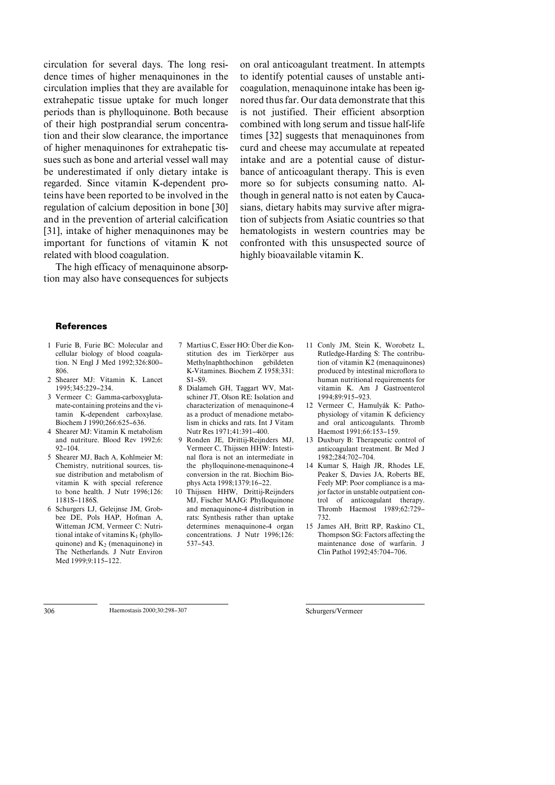circulation for several days. The long residence times of higher menaquinones in the circulation implies that they are available for extrahepatic tissue uptake for much longer periods than is phylloquinone. Both because of their high postprandial serum concentration and their slow clearance, the importance of higher menaquinones for extrahepatic tissues such as bone and arterial vessel wall may be underestimated if only dietary intake is regarded. Since vitamin K-dependent proteins have been reported to be involved in the regulation of calcium deposition in bone [30] and in the prevention of arterial calcification [31], intake of higher menaquinones may be important for functions of vitamin K not related with blood coagulation.

The high efficacy of menaquinone absorption may also have consequences for subjects

on oral anticoagulant treatment. In attempts to identify potential causes of unstable anticoagulation, menaquinone intake has been ignored thus far. Our data demonstrate that this is not justified. Their efficient absorption combined with long serum and tissue half-life times [32] suggests that menaquinones from curd and cheese may accumulate at repeated intake and are a potential cause of disturbance of anticoagulant therapy. This is even more so for subjects consuming natto. Although in general natto is not eaten by Caucasians, dietary habits may survive after migration of subjects from Asiatic countries so that hematologists in western countries may be confronted with this unsuspected source of highly bioavailable vitamin K.

### **References**

- 1 Furie B, Furie BC: Molecular and cellular biology of blood coagulation. N Engl J Med 1992;326:800– 806.
- 2Shearer MJ: Vitamin K. Lancet 1995;345:229–234.
- 3 Vermeer C: Gamma-carboxyglutamate-containing proteins and the vitamin K-dependent carboxylase. Biochem J 1990;266:625–636.
- 4 Shearer MJ: Vitamin K metabolism and nutriture. Blood Rev 1992;6: 92–104.
- 5 Shearer MJ, Bach A, Kohlmeier M: Chemistry, nutritional sources, tissue distribution and metabolism of vitamin K with special reference to bone health. J Nutr 1996;126: 1181S–1186S.
- 6 Schurgers LJ, Geleijnse JM, Grobbee DE, Pols HAP, Hofman A, Witteman JCM, Vermeer C: Nutritional intake of vitamins  $K_1$  (phylloquinone) and  $K_2$  (menaquinone) in The Netherlands. J Nutr Environ Med 1999;9:115–122.
- 7 Martius C, Esser HO: Über die Konstitution des im Tierkörper aus Methylnaphthochinon gebildeten K-Vitamines. Biochem Z 1958;331: S1–S9.
- 8 Dialameh GH, Taggart WV, Matschiner JT, Olson RE: Isolation and characterization of menaquinone-4 as a product of menadione metabolism in chicks and rats. Int J Vitam Nutr Res 1971;41:391–400.
- 9 Ronden JE, Drittij-Reijnders MJ, Vermeer C, Thijssen HHW: Intestinal flora is not an intermediate in the phylloquinone-menaquinone-4 conversion in the rat. Biochim Biophys Acta 1998;1379:16–22.
- 10 Thijssen HHW, Drittij-Reijnders MJ, Fischer MAJG: Phylloquinone and menaquinone-4 distribution in rats: Synthesis rather than uptake determines menaquinone-4 organ concentrations. J Nutr 1996;126: 537–543.
- 11 Conly JM, Stein K, Worobetz L, Rutledge-Harding S: The contribution of vitamin K2 (menaquinones) produced by intestinal microflora to human nutritional requirements for vitamin K. Am J Gastroenterol 1994;89:915–923.
- 12 Vermeer C, Hamulyák K: Pathophysiology of vitamin K deficiency and oral anticoagulants. Thromb Haemost 1991;66:153–159.
- 13 Duxbury B: Therapeutic control of anticoagulant treatment. Br Med J 1982;284:702–704.
- 14 Kumar S, Haigh JR, Rhodes LE, Peaker S, Davies JA, Roberts BE, Feely MP: Poor compliance is a major factor in unstable outpatient control of anticoagulant therapy. Thromb Haemost 1989;62:729– 732.
- 15 James AH, Britt RP, Raskino CL, Thompson SG: Factors affecting the maintenance dose of warfarin. J Clin Pathol 1992;45:704–706.

306 Haemostasis 2000;30:298–307 Schurgers/Vermeer